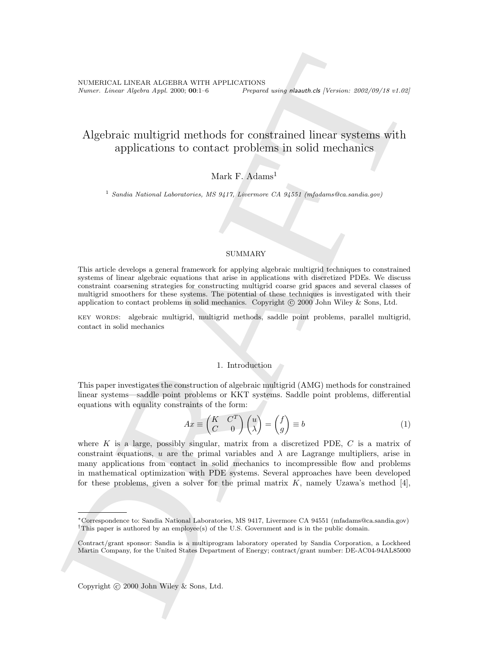NUMERICAL LINEAR ALGEBRA WITH APPLICATIONS<br>Numer. Linear Algebra Appl. 2000; 00:1–6 Preparee Prepared using nlaauth.cls [Version: 2002/09/18 v1.02]

# Algebraic multigrid methods for constrained linear systems with applications to contact problems in solid mechanics

## Mark F. Adams<sup>1</sup>

<sup>1</sup> Sandia National Laboratories, MS 9417, Livermore CA 94551 (mfadams@ca.sandia.gov)

#### SUMMARY

This article develops a general framework for applying algebraic multigrid techniques to constrained systems of linear algebraic equations that arise in applications with discretized PDEs. We discuss constraint coarsening strategies for constructing multigrid coarse grid spaces and several classes of multigrid smoothers for these systems. The potential of these techniques is investigated with their application to contact problems in solid mechanics. Copyright  $\odot$  2000 John Wiley & Sons, Ltd.

key words: algebraic multigrid, multigrid methods, saddle point problems, parallel multigrid, contact in solid mechanics

## 1. Introduction

This paper investigates the construction of algebraic multigrid (AMG) methods for constrained linear systems—saddle point problems or KKT systems. Saddle point problems, differential equations with equality constraints of the form:

$$
Ax \equiv \begin{pmatrix} K & C^T \\ C & 0 \end{pmatrix} \begin{pmatrix} u \\ \lambda \end{pmatrix} = \begin{pmatrix} f \\ g \end{pmatrix} \equiv b \tag{1}
$$

NUMBERIAL LINEAR ALGEBRA WITH APPLICATIONS  $\label{eq:2.1} \textsc{Nmax\_density} \textsc{Matrix} \textsc{Matrix} \textsc{Matrix} \textsc{Matrix} \textsc{Matrix} \textsc{Matrix} \textsc{Matrix} \textsc{Matrix} \textsc{Matrix} \textsc{Matrix} \textsc{Matrix} \textsc{Matrix} \textsc{Matrix} \textsc{Matrix} \textsc{Matrix} \textsc{Matrix} \textsc{Matrix} \textsc{Matrix} \textsc{Matrix} \textsc{Matrix} \textsc{Matrix} \textsc{Matrix} \textsc{Matrix} \textsc{Matrix} \textsc{Matrix} \textsc{Matrix} \textsc$ where K is a large, possibly singular, matrix from a discretized PDE,  $C$  is a matrix of constraint equations, u are the primal variables and  $\lambda$  are Lagrange multipliers, arise in many applications from contact in solid mechanics to incompressible flow and problems in mathematical optimization with PDE systems. Several approaches have been developed for these problems, given a solver for the primal matrix  $K$ , namely Uzawa's method [4],

Copyright  $\odot$  2000 John Wiley & Sons, Ltd.

<sup>∗</sup>Correspondence to: Sandia National Laboratories, MS 9417, Livermore CA 94551 (mfadams@ca.sandia.gov) <sup>†</sup>This paper is authored by an employee(s) of the U.S. Government and is in the public domain.

Contract/grant sponsor: Sandia is a multiprogram laboratory operated by Sandia Corporation, a Lockheed Martin Company, for the United States Department of Energy; contract/grant number: DE-AC04-94AL85000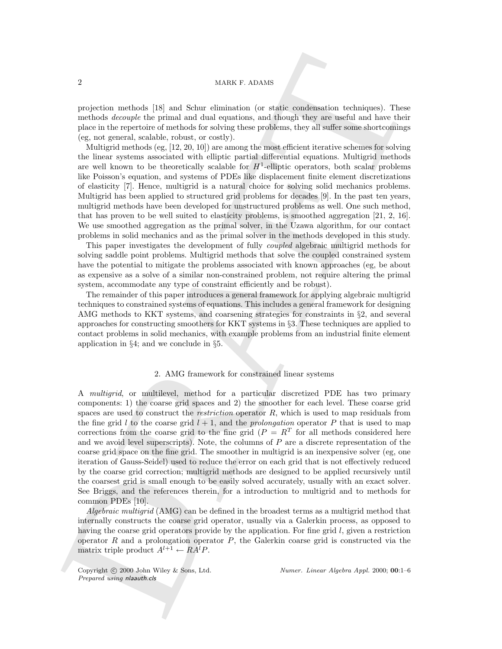#### 2 MARK F. ADAMS

projection methods [18] and Schur elimination (or static condensation techniques). These methods decouple the primal and dual equations, and though they are useful and have their place in the repertoire of methods for solving these problems, they all suffer some shortcomings (eg, not general, scalable, robust, or costly).

Multigrid methods (eg, [12, 20, 10]) are among the most efficient iterative schemes for solving the linear systems associated with elliptic partial differential equations. Multigrid methods are well known to be theoretically scalable for  $H^1$ -elliptic operators, both scalar problems like Poisson's equation, and systems of PDEs like displacement finite element discretizations of elasticity [7]. Hence, multigrid is a natural choice for solving solid mechanics problems. Multigrid has been applied to structured grid problems for decades [9]. In the past ten years, multigrid methods have been developed for unstructured problems as well. One such method, that has proven to be well suited to elasticity problems, is smoothed aggregation [21, 2, 16]. We use smoothed aggregation as the primal solver, in the Uzawa algorithm, for our contact problems in solid mechanics and as the primal solver in the methods developed in this study.

This paper investigates the development of fully coupled algebraic multigrid methods for solving saddle point problems. Multigrid methods that solve the coupled constrained system have the potential to mitigate the problems associated with known approaches (eg, be about as expensive as a solve of a similar non-constrained problem, not require altering the primal system, accommodate any type of constraint efficiently and be robust).

The remainder of this paper introduces a general framework for applying algebraic multigrid techniques to constrained systems of equations. This includes a general framework for designing AMG methods to KKT systems, and coarsening strategies for constraints in §2, and several approaches for constructing smoothers for KKT systems in §3. These techniques are applied to contact problems in solid mechanics, with example problems from an industrial finite element application in §4; and we conclude in §5.

## 2. AMG framework for constrained linear systems

20 MARK s. Anatok<br> projection anchols [18] and Sohur elimination (or staik combination behaltignes). The verticals degree of the crystale of the crystale of the crystale of the crystale of the crystale of the crystale of A multigrid, or multilevel, method for a particular discretized PDE has two primary components: 1) the coarse grid spaces and 2) the smoother for each level. These coarse grid spaces are used to construct the *restriction* operator  $R$ , which is used to map residuals from the fine grid l to the coarse grid  $l + 1$ , and the *prolongation* operator P that is used to map corrections from the coarse grid to the fine grid  $(P = R^T)$  for all methods considered here and we avoid level superscripts). Note, the columns of  $P$  are a discrete representation of the coarse grid space on the fine grid. The smoother in multigrid is an inexpensive solver (eg, one iteration of Gauss-Seidel) used to reduce the error on each grid that is not effectively reduced by the coarse grid correction; multigrid methods are designed to be applied recursively until the coarsest grid is small enough to be easily solved accurately, usually with an exact solver. See Briggs, and the references therein, for a introduction to multigrid and to methods for common PDEs [10].

Algebraic multigrid (AMG) can be defined in the broadest terms as a multigrid method that internally constructs the coarse grid operator, usually via a Galerkin process, as opposed to having the coarse grid operators provide by the application. For fine grid l, given a restriction operator  $R$  and a prolongation operator  $P$ , the Galerkin coarse grid is constructed via the matrix triple product  $A^{l+1} \leftarrow RA^lP$ .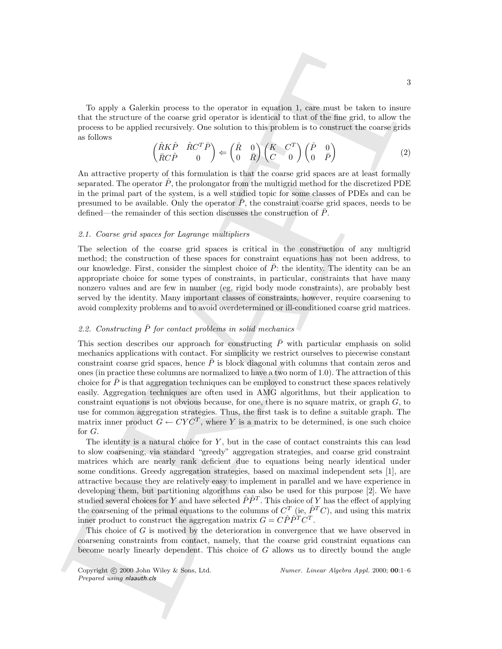To apply a Galerkin process to the operator in equation 1, care must be taken to insure that the structure of the coarse grid operator is identical to that of the fine grid, to allow the process to be applied recursively. One solution to this problem is to construct the coarse grids as follows

$$
\begin{pmatrix}\n\hat{R}K\hat{P} & \hat{R}C^{T}\bar{P} \\
\bar{R}C\hat{P} & 0\n\end{pmatrix} \Leftarrow \begin{pmatrix}\n\hat{R} & 0 \\
0 & \bar{R}\n\end{pmatrix}\n\begin{pmatrix}\nK & C^{T} \\
C & 0\n\end{pmatrix}\n\begin{pmatrix}\n\hat{P} & 0 \\
0 & \bar{P}\n\end{pmatrix}
$$
\n(2)

An attractive property of this formulation is that the coarse grid spaces are at least formally separated. The operator  $\ddot{P}$ , the prolongator from the multigrid method for the discretized PDE in the primal part of the system, is a well studied topic for some classes of PDEs and can be presumed to be available. Only the operator  $P$ , the constraint coarse grid spaces, needs to be defined—the remainder of this section discusses the construction of  $\overline{P}$ .

#### 2.1. Coarse grid spaces for Lagrange multipliers

The selection of the coarse grid spaces is critical in the construction of any multigrid method; the construction of these spaces for constraint equations has not been address, to our knowledge. First, consider the simplest choice of  $\overline{P}$ : the identity. The identity can be an appropriate choice for some types of constraints, in particular, constraints that have many nonzero values and are few in number (eg, rigid body mode constraints), are probably best served by the identity. Many important classes of constraints, however, require coarsening to avoid complexity problems and to avoid overdetermined or ill-conditioned coarse grid matrices.

## 2.2. Constructing  $\overline{P}$  for contact problems in solid mechanics

To apply a Galachim process to the operator in equation 1, cate anot be taken to insert that in the target due of the fine stretches of the fine stretches of the fine stretches for the property of the stretches for the pr This section describes our approach for constructing  $\bar{P}$  with particular emphasis on solid mechanics applications with contact. For simplicity we restrict ourselves to piecewise constant constraint coarse grid spaces, hence  $P$  is block diagonal with columns that contain zeros and ones (in practice these columns are normalized to have a two norm of 1.0). The attraction of this choice for  $\overline{P}$  is that aggregation techniques can be employed to construct these spaces relatively easily. Aggregation techniques are often used in AMG algorithms, but their application to constraint equations is not obvious because, for one, there is no square matrix, or graph  $G$ , to use for common aggregation strategies. Thus, the first task is to define a suitable graph. The matrix inner product  $G \leftarrow CYC^T$ , where Y is a matrix to be determined, is one such choice for G.

The identity is a natural choice for  $Y$ , but in the case of contact constraints this can lead to slow coarsening, via standard "greedy" aggregation strategies, and coarse grid constraint matrices which are nearly rank deficient due to equations being nearly identical under some conditions. Greedy aggregation strategies, based on maximal independent sets [1], are attractive because they are relatively easy to implement in parallel and we have experience in developing them, but partitioning algorithms can also be used for this purpose [2]. We have studied several choices for Y and have selected  $\hat{P}\hat{P}^T$ . This choice of Y has the effect of applying the coarsening of the primal equations to the columns of  $C^T$  (ie,  $\hat{P}^T C$ ), and using this matrix inner product to construct the aggregation matrix  $G = C \hat{P} \hat{P}^T C^T$ .

This choice of G is motived by the deterioration in convergence that we have observed in coarsening constraints from contact, namely, that the coarse grid constraint equations can become nearly linearly dependent. This choice of G allows us to directly bound the angle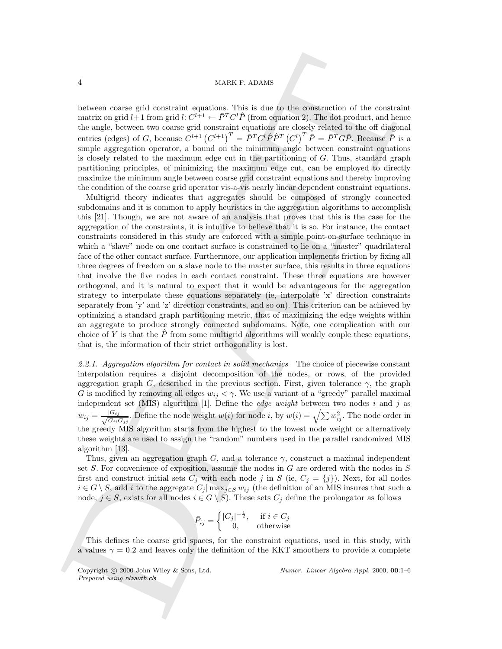## 4 MARK F. ADAMS

between coarse grid constraint equations. This is due to the construction of the constraint matrix on grid  $l+1$  from grid  $l: C^{l+1} \leftarrow \bar{P}^T C^l \hat{P}$  (from equation 2). The dot product, and hence the angle, between two coarse grid constraint equations are closely related to the off diagonal entries (edges) of G, because  $C^{l+1}(C^{l+1})^T = \bar{P}^T C^l \hat{P} \hat{P}^T (C^l)^T \bar{P} = \bar{P}^T G \bar{P}$ . Because  $\bar{P}$  is a simple aggregation operator, a bound on the minimum angle between constraint equations is closely related to the maximum edge cut in the partitioning of  $G$ . Thus, standard graph partitioning principles, of minimizing the maximum edge cut, can be employed to directly maximize the minimum angle between coarse grid constraint equations and thereby improving the condition of the coarse grid operator vis-a-vis nearly linear dependent constraint equations.

A<br>
4 MARK s. Anatas<br>
1 MARK s. Anatas<br>
between consergied constraint equations. This is due to the constraint<br>of the constraint equation with the only between two consergences of<br>the proposition of the proposition of the Multigrid theory indicates that aggregates should be composed of strongly connected subdomains and it is common to apply heuristics in the aggregation algorithms to accomplish this [21]. Though, we are not aware of an analysis that proves that this is the case for the aggregation of the constraints, it is intuitive to believe that it is so. For instance, the contact constraints considered in this study are enforced with a simple point-on-surface technique in which a "slave" node on one contact surface is constrained to lie on a "master" quadrilateral face of the other contact surface. Furthermore, our application implements friction by fixing all three degrees of freedom on a slave node to the master surface, this results in three equations that involve the five nodes in each contact constraint. These three equations are however orthogonal, and it is natural to expect that it would be advantageous for the aggregation strategy to interpolate these equations separately (ie, interpolate 'x' direction constraints separately from 'y' and 'z' direction constraints, and so on). This criterion can be achieved by optimizing a standard graph partitioning metric, that of maximizing the edge weights within an aggregate to produce strongly connected subdomains. Note, one complication with our choice of Y is that the  $\hat{P}$  from some multigrid algorithms will weakly couple these equations, that is, the information of their strict orthogonality is lost.

2.2.1. Aggregation algorithm for contact in solid mechanics The choice of piecewise constant interpolation requires a disjoint decomposition of the nodes, or rows, of the provided aggregation graph G, described in the previous section. First, given tolerance  $\gamma$ , the graph G is modified by removing all edges  $w_{ij} < \gamma$ . We use a variant of a "greedy" parallel maximal independent set (MIS) algorithm [1]. Define the *edge weight* between two nodes  $i$  and  $j$  as  $w_{ij} = \frac{|G_{ij}|}{\sqrt{G_{ii}G_{jj}}}$  $\frac{|G_{ij}|}{|G_{ii}G_{jj}}$ . Define the node weight  $w(i)$  for node i, by  $w(i) = \sqrt{\sum w_{ij}^2}$ . The node order in the greedy MIS algorithm starts from the highest to the lowest node weight or alternatively these weights are used to assign the "random" numbers used in the parallel randomized MIS algorithm [13].

Thus, given an aggregation graph G, and a tolerance  $\gamma$ , construct a maximal independent set  $S$ . For convenience of exposition, assume the nodes in  $G$  are ordered with the nodes in  $S$ first and construct initial sets  $C_i$  with each node j in S (ie,  $C_i = \{j\}$ ). Next, for all nodes  $i \in G \setminus S$ , add i to the aggregate  $C_j | \max_{j \in S} w_{ij}$  (the definition of an MIS insures that such a node,  $j \in S$ , exists for all nodes  $i \in G \setminus S$ . These sets  $C_j$  define the prolongator as follows

$$
\bar{P}_{ij} = \begin{cases} |C_j|^{-\frac{1}{2}}, & \text{if } i \in C_j \\ 0, & \text{otherwise} \end{cases}
$$

 $\overline{I}$ 

This defines the coarse grid spaces, for the constraint equations, used in this study, with a values  $\gamma = 0.2$  and leaves only the definition of the KKT smoothers to provide a complete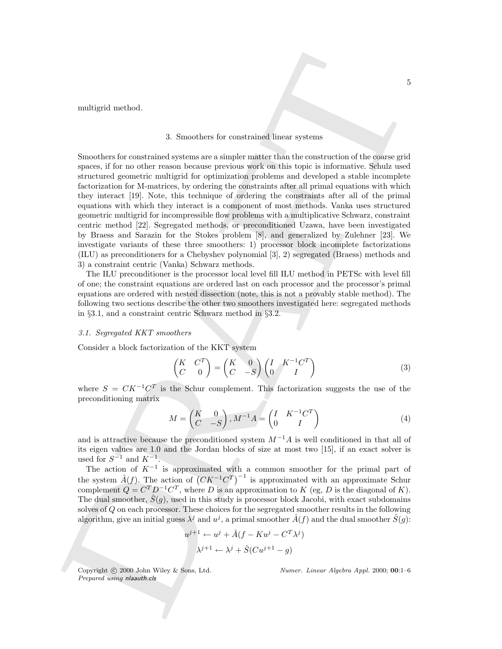multigrid method.

## 3. Smoothers for constrained linear systems

and<br>thiggid method. <br>
3. Seesaben for constrained linear systems of the constrained systems of the constrained system at<br> $\hat{S}$  constrained system at the constrained system at<br> $\hat{S}$  constrained system at the constraine Smoothers for constrained systems are a simpler matter than the construction of the coarse grid spaces, if for no other reason because previous work on this topic is informative. Schulz used structured geometric multigrid for optimization problems and developed a stable incomplete factorization for M-matrices, by ordering the constraints after all primal equations with which they interact [19]. Note, this technique of ordering the constraints after all of the primal equations with which they interact is a component of most methods. Vanka uses structured geometric multigrid for incompressible flow problems with a multiplicative Schwarz, constraint centric method [22]. Segregated methods, or preconditioned Uzawa, have been investigated by Braess and Sarazin for the Stokes problem [8], and generalized by Zulehner [23]. We investigate variants of these three smoothers: 1) processor block incomplete factorizations (ILU) as preconditioners for a Chebyshev polynomial [3], 2) segregated (Braess) methods and 3) a constraint centric (Vanka) Schwarz methods.

The ILU preconditioner is the processor local level fill ILU method in PETSc with level fill of one; the constraint equations are ordered last on each processor and the processor's primal equations are ordered with nested dissection (note, this is not a provably stable method). The following two sections describe the other two smoothers investigated here: segregated methods in §3.1, and a constraint centric Schwarz method in §3.2.

#### 3.1. Segregated KKT smoothers

Consider a block factorization of the KKT system

$$
\begin{pmatrix} K & C^T \\ C & 0 \end{pmatrix} = \begin{pmatrix} K & 0 \\ C & -S \end{pmatrix} \begin{pmatrix} I & K^{-1}C^T \\ 0 & I \end{pmatrix}
$$
 (3)

where  $S = C K^{-1} C^{T}$  is the Schur complement. This factorization suggests the use of the preconditioning matrix

$$
M = \begin{pmatrix} K & 0 \\ C & -S \end{pmatrix}, M^{-1}A = \begin{pmatrix} I & K^{-1}C^T \\ 0 & I \end{pmatrix}
$$
 (4)

and is attractive because the preconditioned system  $M^{-1}A$  is well conditioned in that all of its eigen values are 1.0 and the Jordan blocks of size at most two [15], if an exact solver is used for  $S^{-1}$  and  $K^{-1}$ .

The action of  $K^{-1}$  is approximated with a common smoother for the primal part of the system  $\hat{A}(f)$ . The action of  $(CK^{-1}C^{T})^{-1}$  is approximated with an approximate Schur complement  $Q = C^T D^{-1} C^T$ , where D is an approximation to K (eg, D is the diagonal of K). The dual smoother,  $\hat{S}(g)$ , used in this study is processor block Jacobi, with exact subdomains solves of Q on each processor. These choices for the segregated smoother results in the following algorithm, give an initial guess  $\lambda^j$  and  $u^j$ , a primal smoother  $\hat{A}(f)$  and the dual smoother  $\hat{S}(g)$ :

$$
u^{j+1} \leftarrow u^j + \hat{A}(f - Ku^j - C^T \lambda^j)
$$

$$
\lambda^{j+1} \leftarrow \lambda^j + \hat{S}(Cu^{j+1} - g)
$$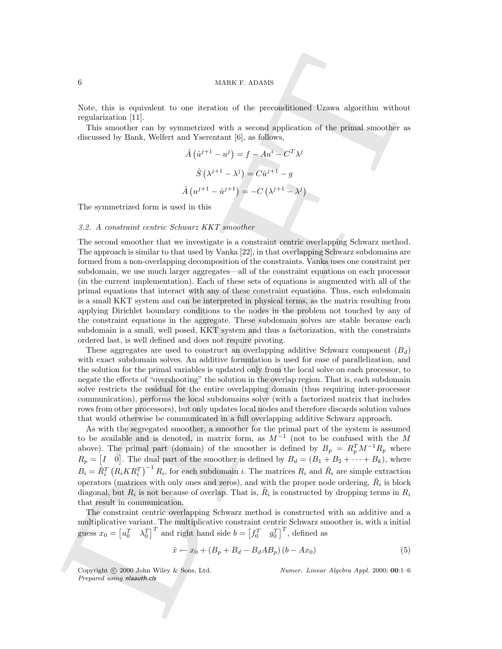#### 6 MARK F. ADAMS

Note, this is equivalent to one iteration of the preconditioned Uzawa algorithm without regularization [11].

This smoother can by symmetrized with a second application of the primal smoother as discussed by Bank, Welfert and Yserentant [6], as follows,

$$
\hat{A}(\hat{u}^{j+1} - u^j) = f - Au^i - C^T \lambda^j
$$

$$
\hat{S}(\lambda^{j+1} - \lambda^j) = C\hat{u}^{j+1} - g
$$

$$
\hat{A}(u^{j+1} - \hat{u}^{j+1}) = -C(\lambda^{j+1} - \lambda^j)
$$

The symmetrized form is used in this

#### 3.2. A constraint centric Schwarz KKT smoother

G <br>
State, this is equivalent to case derivation of the precombinanced Uzawa algoridum without mytheriscsic<br>repulsivation (F1). This amonda case algorithm is a second application of the primal amost<br>distinct the first and The second smoother that we investigate is a constraint centric overlapping Schwarz method. The approach is similar to that used by Vanka [22], in that overlapping Schwarz subdomains are formed from a non-overlapping decomposition of the constraints. Vanka uses one constraint per subdomain, we use much larger aggregates—all of the constraint equations on each processor (in the current implementation). Each of these sets of equations is augmented with all of the primal equations that interact with any of these constraint equations. Thus, each subdomain is a small KKT system and can be interpreted in physical terms, as the matrix resulting from applying Dirichlet boundary conditions to the nodes in the problem not touched by any of the constraint equations in the aggregate. These subdomain solves are stable because each subdomain is a small, well posed, KKT system and thus a factorization, with the constraints ordered last, is well defined and does not require pivoting.

These aggregates are used to construct an overlapping additive Schwarz component  $(B_d)$ with exact subdomain solves. An additive formulation is used for ease of parallelization, and the solution for the primal variables is updated only from the local solve on each processor, to negate the effects of "overshooting" the solution in the overlap region. That is, each subdomain solve restricts the residual for the entire overlapping domain (thus requiring inter-processor communication), performs the local subdomains solve (with a factorized matrix that includes rows from other processors), but only updates local nodes and therefore discards solution values that would otherwise be communicated in a full overlapping additive Schwarz approach.

As with the segregated smoother, a smoother for the primal part of the system is assumed to be available and is denoted, in matrix form, as  $M^{-1}$  (not to be confused with the M above). The primal part (domain) of the smoother is defined by  $B_p = R_p^T M^{-1} R_p$  where  $R_p = [I \quad 0]$ . The dual part of the smoother is defined by  $B_d = (B_1 + B_2 + \cdots + B_k)$ , where  $B_i = \tilde{R}_i^T (R_i K R_i^T)^{-1} R_i$ , for each subdomain i. The matrices  $R_i$  and  $\tilde{R}_i$  are simple extraction operators (matrices with only ones and zeros), and with the proper node ordering,  $\tilde{R}_i$  is block diagonal, but  $R_i$  is not because of overlap. That is,  $\tilde{R}_i$  is constructed by dropping terms in  $R_i$ that result in communication.

The constraint centric overlapping Schwarz method is constructed with an additive and a multiplicative variant. The multiplicative constraint centric Schwarz smoother is, with a initial guess  $x_0 = \begin{bmatrix} u_0^T & \lambda_0^T \end{bmatrix}^T$  and right hand side  $b = \begin{bmatrix} f_0^T & g_0^T \end{bmatrix}^T$ , defined as

$$
\hat{x} \leftarrow x_0 + \left(B_p + B_d - B_d A B_p\right) \left(b - A x_0\right) \tag{5}
$$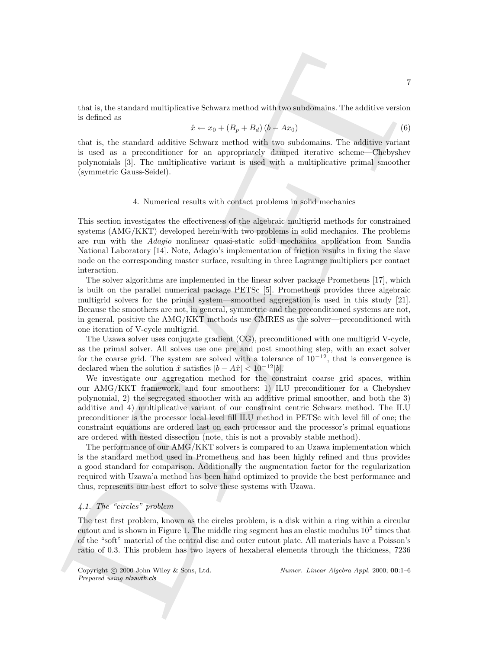that is, the standard multiplicative Schwarz method with two subdomains. The additive version is defined as

$$
\hat{x} \leftarrow x_0 + (B_p + B_d)(b - Ax_0) \tag{6}
$$

that is, the standard additive Schwarz method with two subdomains. The additive variant is used as a preconditioner for an appropriately damped iterative scheme—Chebyshev polynomials [3]. The multiplicative variant is used with a multiplicative primal smoother (symmetric Gauss-Seidel).

#### 4. Numerical results with contact problems in solid mechanics

This section investigates the effectiveness of the algebraic multigrid methods for constrained systems (AMG/KKT) developed herein with two problems in solid mechanics. The problems are run with the Adagio nonlinear quasi-static solid mechanics application from Sandia National Laboratory [14]. Note, Adagio's implementation of friction results in fixing the slave node on the corresponding master surface, resulting in three Lagrange multipliers per contact interaction.

The solver algorithms are implemented in the linear solver package Prometheus [17], which is built on the parallel numerical package PETSc [5]. Prometheus provides three algebraic multigrid solvers for the primal system—smoothed aggregation is used in this study [21]. Because the smoothers are not, in general, symmetric and the preconditioned systems are not, in general, positive the AMG/KKT methods use GMRES as the solver—preconditioned with one iteration of V-cycle multigrid.

The Uzawa solver uses conjugate gradient (CG), preconditioned with one multigrid V-cycle, as the primal solver. All solves use one pre and post smoothing step, with an exact solver for the coarse grid. The system are solved with a tolerance of  $10^{-12}$ , that is convergence is declared when the solution  $\hat{x}$  satisfies  $|b - A\hat{x}| < 10^{-12}|b|$ .

That is, the some<br>kell and the law of  $\sim$  24 and  $\sim$  24 and  $\sim$  24 and a<br>statistic vection is defined as  $\label{eq:2}$  that is, the standard additive Schwarz ancheld with two subchannias. The additive vection is not<br>at its We investigate our aggregation method for the constraint coarse grid spaces, within our AMG/KKT framework, and four smoothers: 1) ILU preconditioner for a Chebyshev polynomial, 2) the segregated smoother with an additive primal smoother, and both the 3) additive and 4) multiplicative variant of our constraint centric Schwarz method. The ILU preconditioner is the processor local level fill ILU method in PETSc with level fill of one; the constraint equations are ordered last on each processor and the processor's primal equations are ordered with nested dissection (note, this is not a provably stable method).

The performance of our AMG/KKT solvers is compared to an Uzawa implementation which is the standard method used in Prometheus and has been highly refined and thus provides a good standard for comparison. Additionally the augmentation factor for the regularization required with Uzawa'a method has been hand optimized to provide the best performance and thus, represents our best effort to solve these systems with Uzawa.

## 4.1. The "circles" problem

The test first problem, known as the circles problem, is a disk within a ring within a circular cutout and is shown in Figure 1. The middle ring segment has an elastic modulus  $10^2$  times that of the "soft" material of the central disc and outer cutout plate. All materials have a Poisson's ratio of 0.3. This problem has two layers of hexaheral elements through the thickness, 7236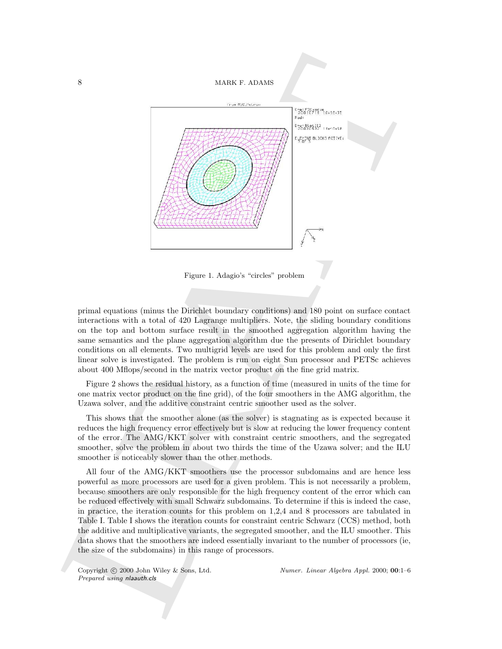

Figure 1. Adagio's "circles" problem

primal equations (minus the Dirichlet boundary conditions) and 180 point on surface contact interactions with a total of 420 Lagrange multipliers. Note, the sliding boundary conditions on the top and bottom surface result in the smoothed aggregation algorithm having the same semantics and the plane aggregation algorithm due the presents of Dirichlet boundary conditions on all elements. Two multigrid levels are used for this problem and only the first linear solve is investigated. The problem is run on eight Sun processor and PETSc achieves about 400 Mflops/second in the matrix vector product on the fine grid matrix.

Figure 2 shows the residual history, as a function of time (measured in units of the time for one matrix vector product on the fine grid), of the four smoothers in the AMG algorithm, the Uzawa solver, and the additive constraint centric smoother used as the solver.

This shows that the smoother alone (as the solver) is stagnating as is expected because it reduces the high frequency error effectively but is slow at reducing the lower frequency content of the error. The AMG/KKT solver with constraint centric smoothers, and the segregated smoother, solve the problem in about two thirds the time of the Uzawa solver; and the ILU smoother is noticeably slower than the other methods.

All four of the AMG/KKT smoothers use the processor subdomains and are hence less powerful as more processors are used for a given problem. This is not necessarily a problem, because smoothers are only responsible for the high frequency content of the error which can be reduced effectively with small Schwarz subdomains. To determine if this is indeed the case, in practice, the iteration counts for this problem on 1,2,4 and 8 processors are tabulated in Table I. Table I shows the iteration counts for constraint centric Schwarz (CCS) method, both the additive and multiplicative variants, the segregated smoother, and the ILU smoother. This data shows that the smoothers are indeed essentially invariant to the number of processors (ie, the size of the subdomains) in this range of processors.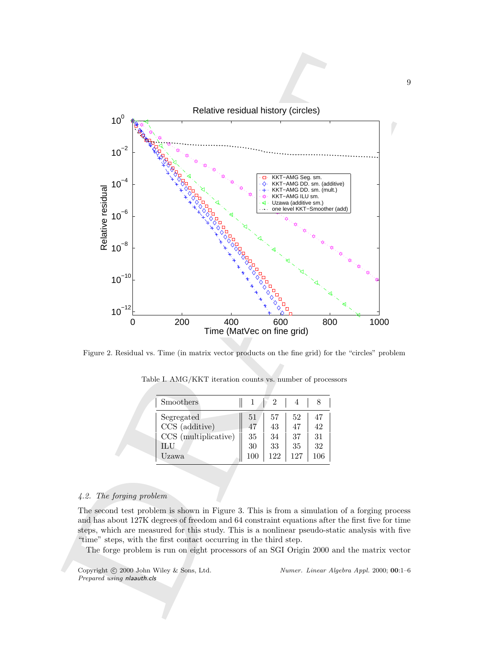

Figure 2. Residual vs. Time (in matrix vector products on the fine grid) for the "circles" problem

| Smoothers            |     |     |     |    |
|----------------------|-----|-----|-----|----|
| Segregated           | 51  | 57  | 52  | 47 |
| CCS (additive)       | 47  | 43  | 47  | 42 |
| CCS (multiplicative) | 35  | 34  | 37  | 31 |
| ILU                  | 30  | 33  | 35  | 32 |
| Uzawa                | 100 | 122 | 127 |    |

Table I. AMG/KKT iteration counts vs. number of processors

## 4.2. The forging problem

The second test problem is shown in Figure 3. This is from a simulation of a forging process and has about 127K degrees of freedom and 64 constraint equations after the first five for time steps, which are measured for this study. This is a nonlinear pseudo-static analysis with five "time" steps, with the first contact occurring in the third step.

The forge problem is run on eight processors of an SGI Origin 2000 and the matrix vector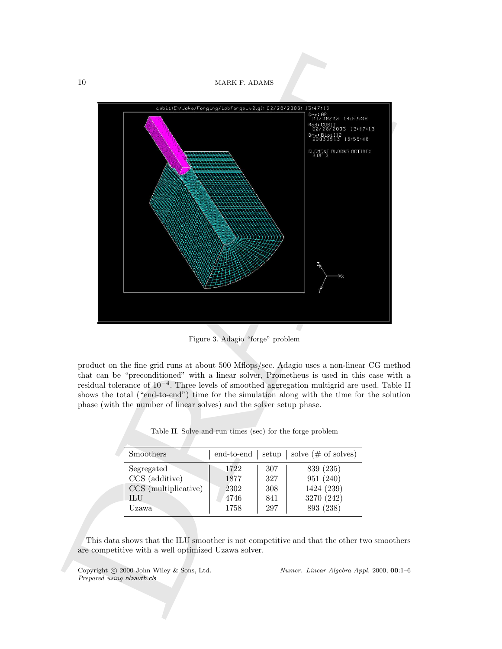10 MARK F. ADAMS



Figure 3. Adagio "forge" problem

product on the fine grid runs at about 500 Mflops/sec. Adagio uses a non-linear CG method that can be "preconditioned" with a linear solver, Prometheus is used in this case with a residual tolerance of 10<sup>−</sup><sup>4</sup> . Three levels of smoothed aggregation multigrid are used. Table II shows the total ("end-to-end") time for the simulation along with the time for the solution phase (with the number of linear solves) and the solver setup phase.

| Smoothers            | end-to-end | setup | solve $(\# \text{ of solves})$ |
|----------------------|------------|-------|--------------------------------|
| Segregated           | 1722       | 307   | 839 (235)                      |
| CCS (additive)       | 1877       | 327   | 951 (240)                      |
| CCS (multiplicative) | 2302       | 308   | 1424 (239)                     |
| ILU                  | 4746       | 841   | 3270 (242)                     |
| Uzawa                | 1758       | 297   | 893 (238)                      |

Table II. Solve and run times (sec) for the forge problem

This data shows that the ILU smoother is not competitive and that the other two smoothers are competitive with a well optimized Uzawa solver.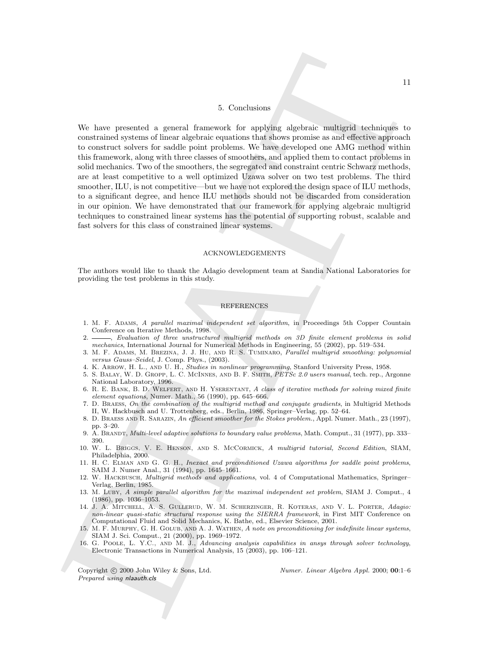#### 5. Conclusions

DRAFT11 We have presented a general framework for applying algebraic multigrid techniques to constrained systems of linear algebraic equations that shows promise as and effective approach to construct solvers for saddle point problems. We have developed one AMG method within this framework, along with three classes of smoothers, and applied them to contact problems in solid mechanics. Two of the smoothers, the segregated and constraint centric Schwarz methods, are at least competitive to a well optimized Uzawa solver on two test problems. The third smoother, ILU, is not competitive—but we have not explored the design space of ILU methods, to a significant degree, and hence ILU methods should not be discarded from consideration in our opinion. We have demonstrated that our framework for applying algebraic multigrid techniques to constrained linear systems has the potential of supporting robust, scalable and fast solvers for this class of constrained linear systems.

#### ACKNOWLEDGEMENTS

The authors would like to thank the Adagio development team at Sandia National Laboratories for providing the test problems in this study.

#### REFERENCES

- 1. M. F. ADAMS, A parallel maximal independent set algorithm, in Proceedings 5th Copper Countain Conference on Iterative Methods, 1998.
- 2.  $\frac{1}{2}$ , Evaluation of three unstructured multigrid methods on 3D finite element problems in solid mechanics, International Journal for Numerical Methods in Engineering, 55 (2002), pp. 519–534.
- 3. M. F. Adams, M. Brezina, J. J. Hu, and R. S. Tuminaro, Parallel multigrid smoothing: polynomial versus Gauss–Seidel, J. Comp. Phys., (2003).
- 4. K. Arrow, H. L., and U. H., Studies in nonlinear programming, Stanford University Press, 1958.
- 5. S. Balay, W. D. Gropp, L. C. McInnes, and B. F. Smith, PETSc 2.0 users manual, tech. rep., Argonne National Laboratory, 1996.
- 6. R. E. Bank, B. D. Welfert, and H. Yserentant, A class of iterative methods for solving mixed finite element equations, Numer. Math., 56 (1990), pp. 645–666.
- 7. D. Braess, On the combination of the multigrid method and conjugate gradients, in Multigrid Methods II, W. Hackbusch and U. Trottenberg, eds., Berlin, 1986, Springer–Verlag, pp. 52–64.
- 8. D. Braess and R. Sarazin, An efficient smoother for the Stokes problem., Appl. Numer. Math., 23 (1997), pp. 3–20.
- 9. A. Brandt, Multi-level adaptive solutions to boundary value problems, Math. Comput., 31 (1977), pp. 333– 390.
- 10. W. L. Briggs, V. E. Henson, and S. McCormick, A multigrid tutorial, Second Edition, SIAM, Philadelphia, 2000.
- 11. H. C. ELMAN AND G. G. H., Inexact and preconditioned Uzawa algorithms for saddle point problems, SAIM J. Numer Anal., 31 (1994), pp. 1645–1661.
- 12. W. HACKBUSCH, Multigrid methods and applications, vol. 4 of Computational Mathematics, Springer– Verlag, Berlin, 1985.
- 13. M. LUBY, A simple parallel algorithm for the maximal independent set problem, SIAM J. Comput., 4 (1986), pp. 1036–1053.
- 14. J. A. Mitchell, A. S. Gullerud, W. M. Scherzinger, R. Koteras, and V. L. Porter, Adagio: non-linear quasi-static structural response using the SIERRA framework, in First MIT Conference on Computational Fluid and Solid Mechanics, K. Bathe, ed., Elsevier Science, 2001.
- 15. M. F. Murphy, G. H. Golub, and A. J. Wathen, A note on preconditioning for indefinite linear systems, SIAM J. Sci. Comput., 21 (2000), pp. 1969–1972.
- 16. G. Poole, L. Y.C., and M. J., Advancing analysis capabilities in ansys through solver technology, Electronic Transactions in Numerical Analysis, 15 (2003), pp. 106–121.